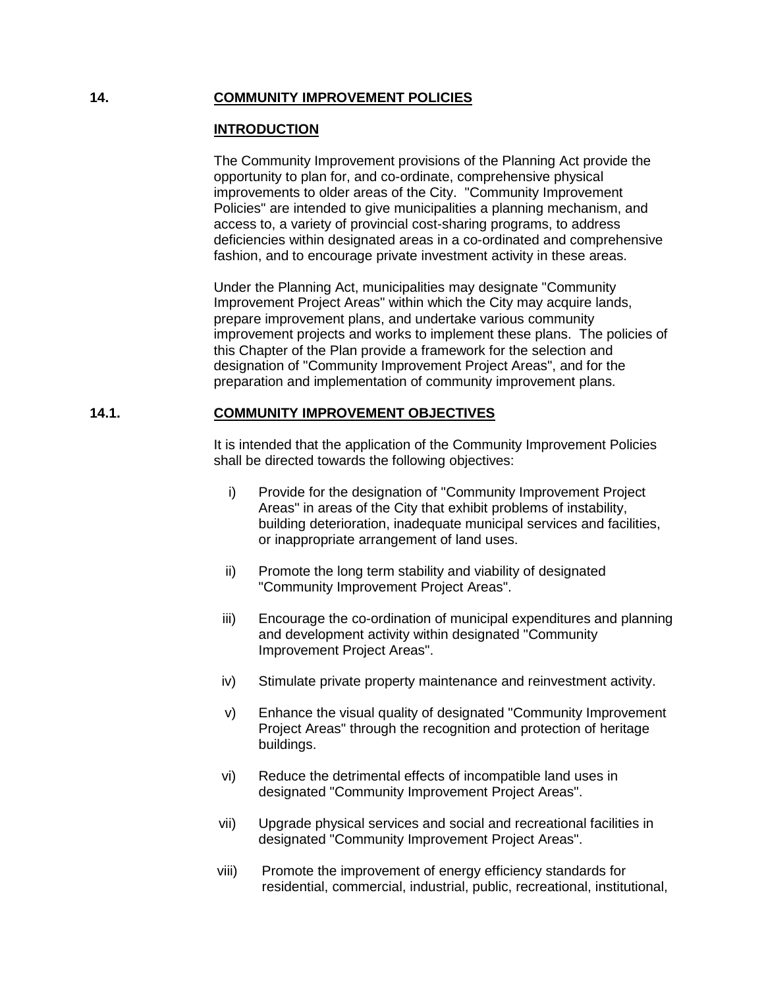## **14. COMMUNITY IMPROVEMENT POLICIES**

## **INTRODUCTION**

The Community Improvement provisions of the Planning Act provide the opportunity to plan for, and co-ordinate, comprehensive physical improvements to older areas of the City. "Community Improvement Policies" are intended to give municipalities a planning mechanism, and access to, a variety of provincial cost-sharing programs, to address deficiencies within designated areas in a co-ordinated and comprehensive fashion, and to encourage private investment activity in these areas.

Under the Planning Act, municipalities may designate "Community Improvement Project Areas" within which the City may acquire lands, prepare improvement plans, and undertake various community improvement projects and works to implement these plans. The policies of this Chapter of the Plan provide a framework for the selection and designation of "Community Improvement Project Areas", and for the preparation and implementation of community improvement plans.

# **14.1. COMMUNITY IMPROVEMENT OBJECTIVES**

It is intended that the application of the Community Improvement Policies shall be directed towards the following objectives:

- i) Provide for the designation of "Community Improvement Project Areas" in areas of the City that exhibit problems of instability, building deterioration, inadequate municipal services and facilities, or inappropriate arrangement of land uses.
- ii) Promote the long term stability and viability of designated "Community Improvement Project Areas".
- iii) Encourage the co-ordination of municipal expenditures and planning and development activity within designated "Community Improvement Project Areas".
- iv) Stimulate private property maintenance and reinvestment activity.
- v) Enhance the visual quality of designated "Community Improvement Project Areas" through the recognition and protection of heritage buildings.
- vi) Reduce the detrimental effects of incompatible land uses in designated "Community Improvement Project Areas".
- vii) Upgrade physical services and social and recreational facilities in designated "Community Improvement Project Areas".
- viii) Promote the improvement of energy efficiency standards for residential, commercial, industrial, public, recreational, institutional,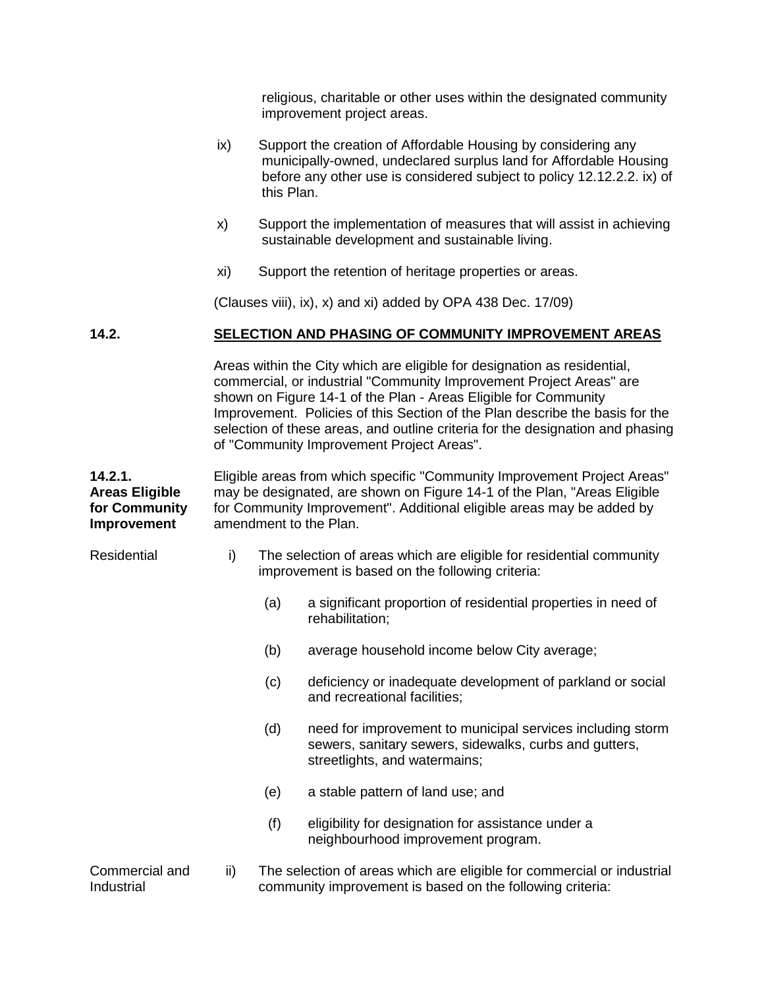religious, charitable or other uses within the designated community improvement project areas.

- ix) Support the creation of Affordable Housing by considering any municipally-owned, undeclared surplus land for Affordable Housing before any other use is considered subject to policy 12.12.2.2. ix) of this Plan.
- x) Support the implementation of measures that will assist in achieving sustainable development and sustainable living.
- xi) Support the retention of heritage properties or areas.

(Clauses viii), ix), x) and xi) added by OPA 438 Dec. 17/09)

## **14.2. SELECTION AND PHASING OF COMMUNITY IMPROVEMENT AREAS**

Areas within the City which are eligible for designation as residential, commercial, or industrial "Community Improvement Project Areas" are shown on Figure 14-1 of the Plan - Areas Eligible for Community Improvement. Policies of this Section of the Plan describe the basis for the selection of these areas, and outline criteria for the designation and phasing of "Community Improvement Project Areas".

**14.2.1. Areas Eligible for Community Improvement** Eligible areas from which specific "Community Improvement Project Areas" may be designated, are shown on Figure 14-1 of the Plan, "Areas Eligible for Community Improvement". Additional eligible areas may be added by amendment to the Plan.

- Residential i) The selection of areas which are eligible for residential community improvement is based on the following criteria:
	- (a) a significant proportion of residential properties in need of rehabilitation;
	- (b) average household income below City average;
	- (c) deficiency or inadequate development of parkland or social and recreational facilities;
	- (d) need for improvement to municipal services including storm sewers, sanitary sewers, sidewalks, curbs and gutters, streetlights, and watermains;
	- (e) a stable pattern of land use; and
	- (f) eligibility for designation for assistance under a neighbourhood improvement program.

#### Commercial and **Industrial** ii) The selection of areas which are eligible for commercial or industrial community improvement is based on the following criteria: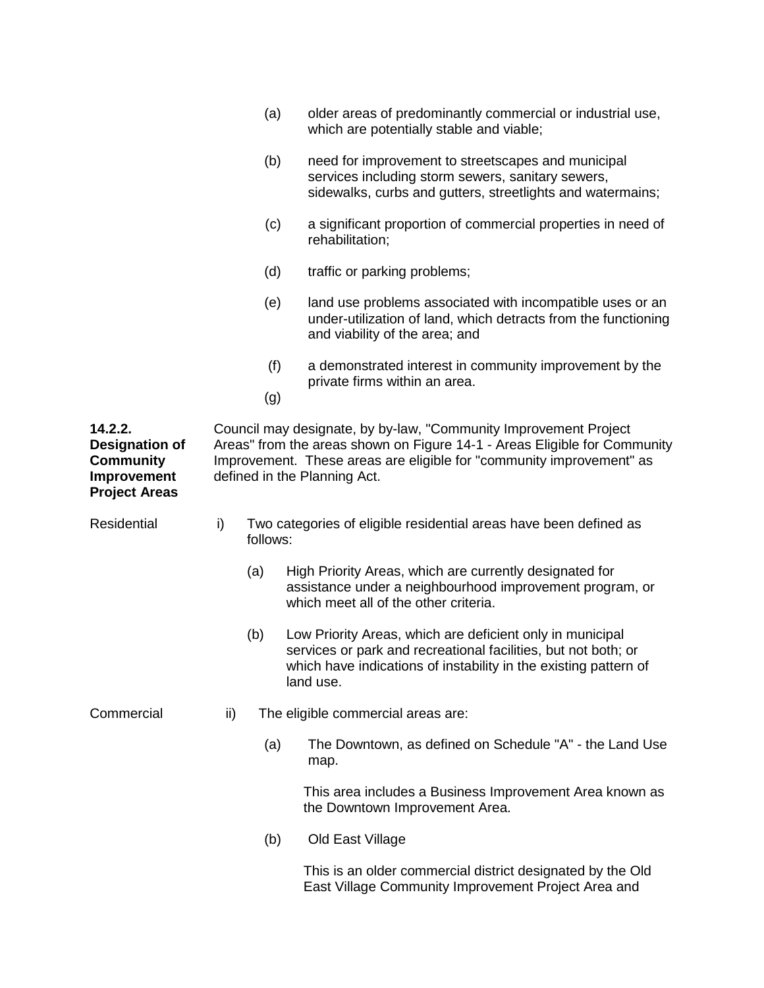|                                                                                             |                                                                                                                                                                                                                                                       | (a)                                                                           | older areas of predominantly commercial or industrial use,<br>which are potentially stable and viable;                                                                                                       |  |  |  |
|---------------------------------------------------------------------------------------------|-------------------------------------------------------------------------------------------------------------------------------------------------------------------------------------------------------------------------------------------------------|-------------------------------------------------------------------------------|--------------------------------------------------------------------------------------------------------------------------------------------------------------------------------------------------------------|--|--|--|
|                                                                                             |                                                                                                                                                                                                                                                       | (b)                                                                           | need for improvement to streetscapes and municipal<br>services including storm sewers, sanitary sewers,<br>sidewalks, curbs and gutters, streetlights and watermains;                                        |  |  |  |
|                                                                                             |                                                                                                                                                                                                                                                       | (c)                                                                           | a significant proportion of commercial properties in need of<br>rehabilitation:                                                                                                                              |  |  |  |
|                                                                                             |                                                                                                                                                                                                                                                       | (d)                                                                           | traffic or parking problems;                                                                                                                                                                                 |  |  |  |
|                                                                                             |                                                                                                                                                                                                                                                       | (e)                                                                           | land use problems associated with incompatible uses or an<br>under-utilization of land, which detracts from the functioning<br>and viability of the area; and                                                |  |  |  |
|                                                                                             |                                                                                                                                                                                                                                                       | (f)<br>(g)                                                                    | a demonstrated interest in community improvement by the<br>private firms within an area.                                                                                                                     |  |  |  |
| 14.2.2.<br><b>Designation of</b><br><b>Community</b><br>Improvement<br><b>Project Areas</b> | Council may designate, by by-law, "Community Improvement Project<br>Areas" from the areas shown on Figure 14-1 - Areas Eligible for Community<br>Improvement. These areas are eligible for "community improvement" as<br>defined in the Planning Act. |                                                                               |                                                                                                                                                                                                              |  |  |  |
| Residential                                                                                 | i)                                                                                                                                                                                                                                                    | Two categories of eligible residential areas have been defined as<br>follows: |                                                                                                                                                                                                              |  |  |  |
|                                                                                             |                                                                                                                                                                                                                                                       | (a)                                                                           | High Priority Areas, which are currently designated for<br>assistance under a neighbourhood improvement program, or<br>which meet all of the other criteria.                                                 |  |  |  |
|                                                                                             |                                                                                                                                                                                                                                                       | (b)                                                                           | Low Priority Areas, which are deficient only in municipal<br>services or park and recreational facilities, but not both; or<br>which have indications of instability in the existing pattern of<br>land use. |  |  |  |
| Commercial                                                                                  | ii)                                                                                                                                                                                                                                                   |                                                                               | The eligible commercial areas are:                                                                                                                                                                           |  |  |  |
|                                                                                             |                                                                                                                                                                                                                                                       | (a)                                                                           | The Downtown, as defined on Schedule "A" - the Land Use<br>map.                                                                                                                                              |  |  |  |
|                                                                                             |                                                                                                                                                                                                                                                       |                                                                               | This area includes a Business Improvement Area known as<br>the Downtown Improvement Area.                                                                                                                    |  |  |  |
|                                                                                             |                                                                                                                                                                                                                                                       | (b)                                                                           | Old East Village                                                                                                                                                                                             |  |  |  |
|                                                                                             |                                                                                                                                                                                                                                                       |                                                                               | This is an older commercial district designated by the Old<br>East Village Community Improvement Project Area and                                                                                            |  |  |  |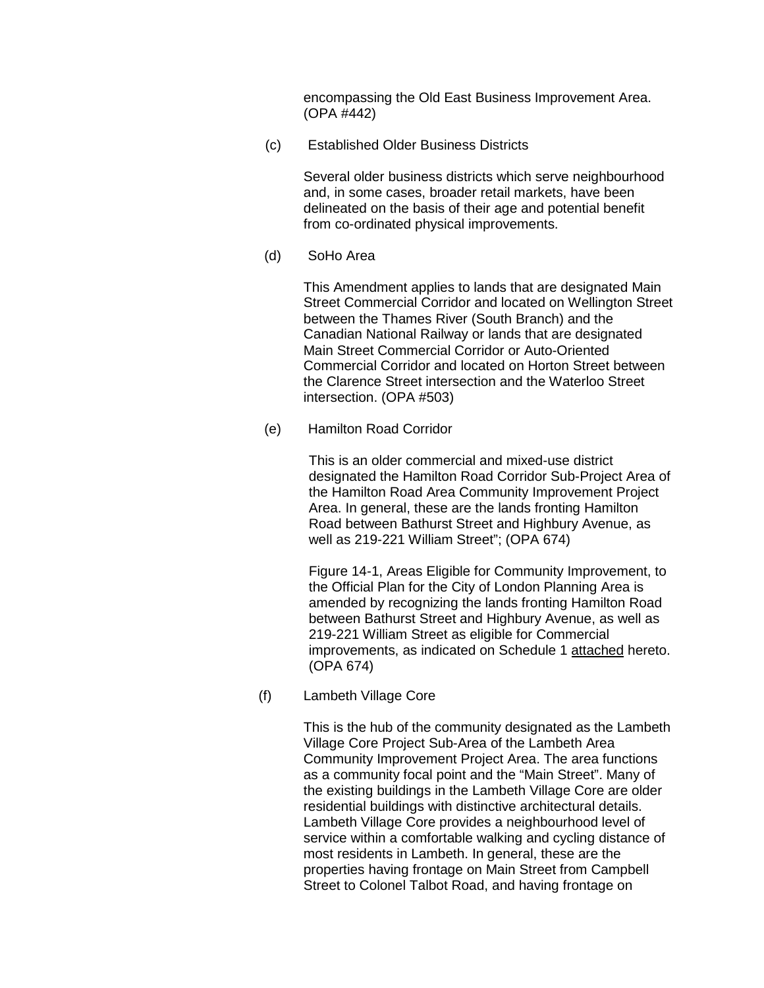encompassing the Old East Business Improvement Area. (OPA #442)

(c) Established Older Business Districts

Several older business districts which serve neighbourhood and, in some cases, broader retail markets, have been delineated on the basis of their age and potential benefit from co-ordinated physical improvements.

(d) SoHo Area

This Amendment applies to lands that are designated Main Street Commercial Corridor and located on Wellington Street between the Thames River (South Branch) and the Canadian National Railway or lands that are designated Main Street Commercial Corridor or Auto-Oriented Commercial Corridor and located on Horton Street between the Clarence Street intersection and the Waterloo Street intersection. (OPA #503)

(e) Hamilton Road Corridor

This is an older commercial and mixed-use district designated the Hamilton Road Corridor Sub-Project Area of the Hamilton Road Area Community Improvement Project Area. In general, these are the lands fronting Hamilton Road between Bathurst Street and Highbury Avenue, as well as 219-221 William Street"; (OPA 674)

Figure 14-1, Areas Eligible for Community Improvement, to the Official Plan for the City of London Planning Area is amended by recognizing the lands fronting Hamilton Road between Bathurst Street and Highbury Avenue, as well as 219-221 William Street as eligible for Commercial improvements, as indicated on Schedule 1 attached hereto. (OPA 674)

(f) Lambeth Village Core

This is the hub of the community designated as the Lambeth Village Core Project Sub-Area of the Lambeth Area Community Improvement Project Area. The area functions as a community focal point and the "Main Street". Many of the existing buildings in the Lambeth Village Core are older residential buildings with distinctive architectural details. Lambeth Village Core provides a neighbourhood level of service within a comfortable walking and cycling distance of most residents in Lambeth. In general, these are the properties having frontage on Main Street from Campbell Street to Colonel Talbot Road, and having frontage on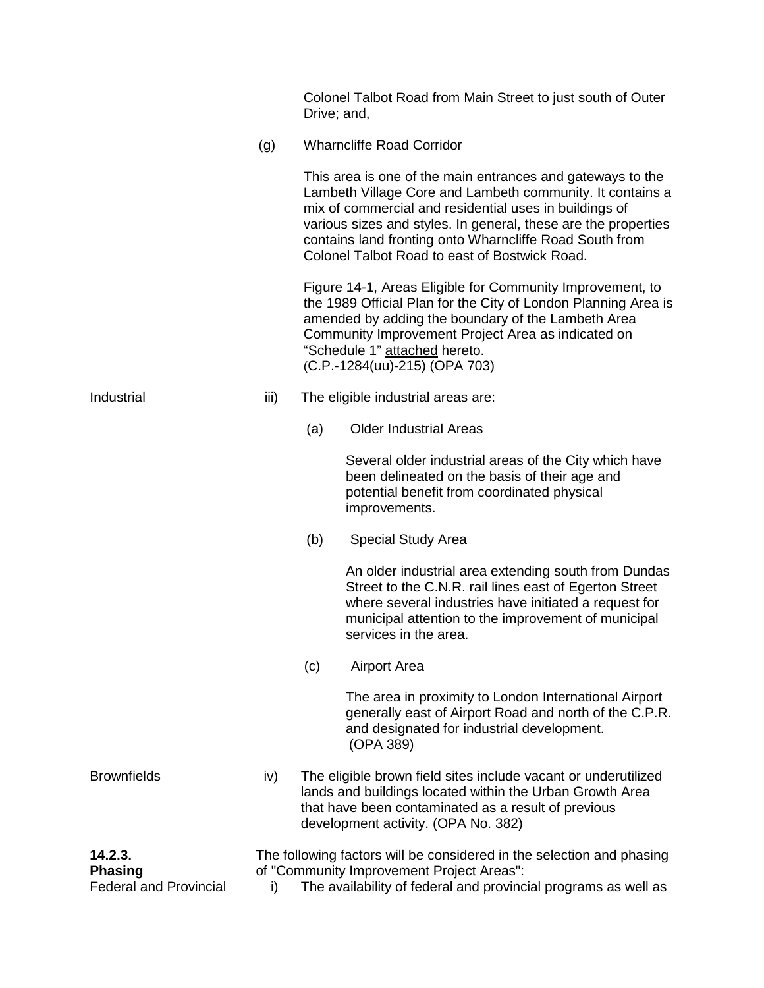|                                                            |                                                                                                                                                                                            | Drive; and,                                                                                                                                                                                                                                                                                               | Colonel Talbot Road from Main Street to just south of Outer                                                                                                                                                                                                                                                                                                     |  |  |  |
|------------------------------------------------------------|--------------------------------------------------------------------------------------------------------------------------------------------------------------------------------------------|-----------------------------------------------------------------------------------------------------------------------------------------------------------------------------------------------------------------------------------------------------------------------------------------------------------|-----------------------------------------------------------------------------------------------------------------------------------------------------------------------------------------------------------------------------------------------------------------------------------------------------------------------------------------------------------------|--|--|--|
|                                                            | (g)                                                                                                                                                                                        |                                                                                                                                                                                                                                                                                                           | <b>Wharncliffe Road Corridor</b>                                                                                                                                                                                                                                                                                                                                |  |  |  |
|                                                            |                                                                                                                                                                                            |                                                                                                                                                                                                                                                                                                           | This area is one of the main entrances and gateways to the<br>Lambeth Village Core and Lambeth community. It contains a<br>mix of commercial and residential uses in buildings of<br>various sizes and styles. In general, these are the properties<br>contains land fronting onto Wharncliffe Road South from<br>Colonel Talbot Road to east of Bostwick Road. |  |  |  |
|                                                            |                                                                                                                                                                                            | Figure 14-1, Areas Eligible for Community Improvement, to<br>the 1989 Official Plan for the City of London Planning Area is<br>amended by adding the boundary of the Lambeth Area<br>Community Improvement Project Area as indicated on<br>"Schedule 1" attached hereto.<br>(C.P.-1284(uu)-215) (OPA 703) |                                                                                                                                                                                                                                                                                                                                                                 |  |  |  |
| Industrial                                                 | iii)                                                                                                                                                                                       | The eligible industrial areas are:                                                                                                                                                                                                                                                                        |                                                                                                                                                                                                                                                                                                                                                                 |  |  |  |
|                                                            |                                                                                                                                                                                            | (a)                                                                                                                                                                                                                                                                                                       | <b>Older Industrial Areas</b>                                                                                                                                                                                                                                                                                                                                   |  |  |  |
|                                                            |                                                                                                                                                                                            |                                                                                                                                                                                                                                                                                                           | Several older industrial areas of the City which have<br>been delineated on the basis of their age and<br>potential benefit from coordinated physical<br>improvements.                                                                                                                                                                                          |  |  |  |
|                                                            |                                                                                                                                                                                            | (b)                                                                                                                                                                                                                                                                                                       | Special Study Area                                                                                                                                                                                                                                                                                                                                              |  |  |  |
|                                                            |                                                                                                                                                                                            |                                                                                                                                                                                                                                                                                                           | An older industrial area extending south from Dundas<br>Street to the C.N.R. rail lines east of Egerton Street<br>where several industries have initiated a request for<br>municipal attention to the improvement of municipal<br>services in the area.                                                                                                         |  |  |  |
|                                                            |                                                                                                                                                                                            | (c)                                                                                                                                                                                                                                                                                                       | <b>Airport Area</b>                                                                                                                                                                                                                                                                                                                                             |  |  |  |
|                                                            |                                                                                                                                                                                            |                                                                                                                                                                                                                                                                                                           | The area in proximity to London International Airport<br>generally east of Airport Road and north of the C.P.R.<br>and designated for industrial development.<br>(OPA 389)                                                                                                                                                                                      |  |  |  |
| <b>Brownfields</b>                                         | iv)                                                                                                                                                                                        |                                                                                                                                                                                                                                                                                                           | The eligible brown field sites include vacant or underutilized<br>lands and buildings located within the Urban Growth Area<br>that have been contaminated as a result of previous<br>development activity. (OPA No. 382)                                                                                                                                        |  |  |  |
| 14.2.3.<br><b>Phasing</b><br><b>Federal and Provincial</b> | The following factors will be considered in the selection and phasing<br>of "Community Improvement Project Areas":<br>The availability of federal and provincial programs as well as<br>i) |                                                                                                                                                                                                                                                                                                           |                                                                                                                                                                                                                                                                                                                                                                 |  |  |  |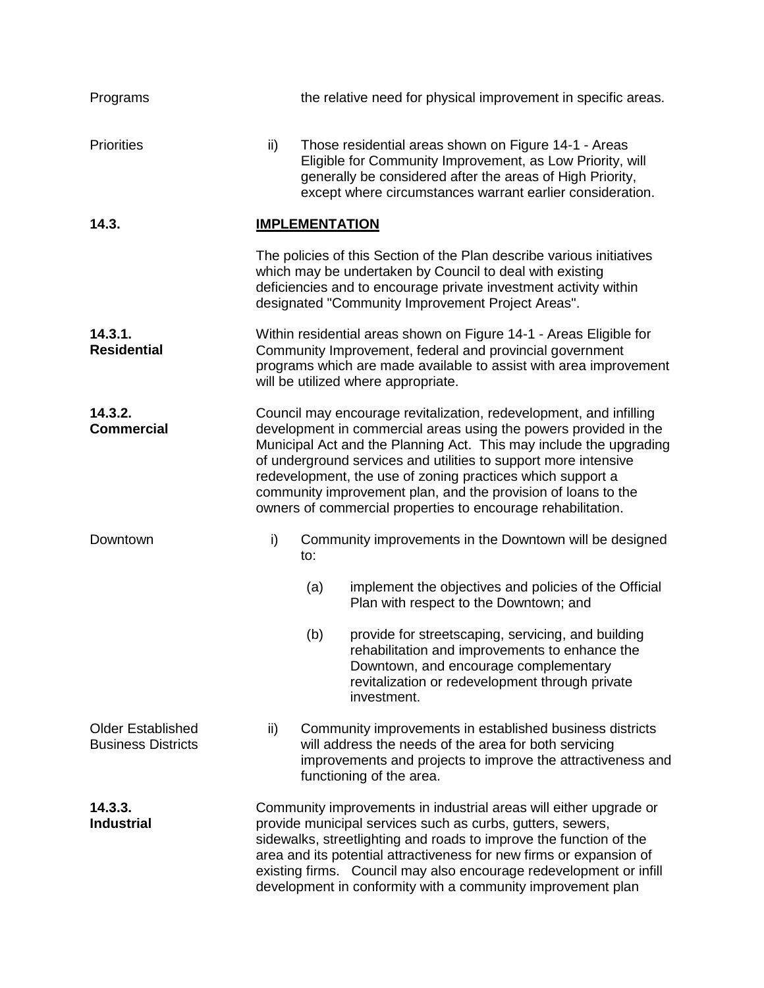| Programs                                              |                                                                                                                                                                                                                                                                                                                                                                                                                                                                                |     | the relative need for physical improvement in specific areas.                                                                                                                                                                                              |  |  |
|-------------------------------------------------------|--------------------------------------------------------------------------------------------------------------------------------------------------------------------------------------------------------------------------------------------------------------------------------------------------------------------------------------------------------------------------------------------------------------------------------------------------------------------------------|-----|------------------------------------------------------------------------------------------------------------------------------------------------------------------------------------------------------------------------------------------------------------|--|--|
| <b>Priorities</b>                                     | ii)                                                                                                                                                                                                                                                                                                                                                                                                                                                                            |     | Those residential areas shown on Figure 14-1 - Areas<br>Eligible for Community Improvement, as Low Priority, will<br>generally be considered after the areas of High Priority,<br>except where circumstances warrant earlier consideration.                |  |  |
| 14.3.                                                 | <b>IMPLEMENTATION</b>                                                                                                                                                                                                                                                                                                                                                                                                                                                          |     |                                                                                                                                                                                                                                                            |  |  |
|                                                       |                                                                                                                                                                                                                                                                                                                                                                                                                                                                                |     | The policies of this Section of the Plan describe various initiatives<br>which may be undertaken by Council to deal with existing<br>deficiencies and to encourage private investment activity within<br>designated "Community Improvement Project Areas". |  |  |
| 14.3.1.<br><b>Residential</b>                         | Within residential areas shown on Figure 14-1 - Areas Eligible for<br>Community Improvement, federal and provincial government<br>programs which are made available to assist with area improvement<br>will be utilized where appropriate.                                                                                                                                                                                                                                     |     |                                                                                                                                                                                                                                                            |  |  |
| 14.3.2.<br><b>Commercial</b>                          | Council may encourage revitalization, redevelopment, and infilling<br>development in commercial areas using the powers provided in the<br>Municipal Act and the Planning Act. This may include the upgrading<br>of underground services and utilities to support more intensive<br>redevelopment, the use of zoning practices which support a<br>community improvement plan, and the provision of loans to the<br>owners of commercial properties to encourage rehabilitation. |     |                                                                                                                                                                                                                                                            |  |  |
| Downtown                                              | i)                                                                                                                                                                                                                                                                                                                                                                                                                                                                             | to: | Community improvements in the Downtown will be designed                                                                                                                                                                                                    |  |  |
|                                                       |                                                                                                                                                                                                                                                                                                                                                                                                                                                                                | (a) | implement the objectives and policies of the Official<br>Plan with respect to the Downtown; and                                                                                                                                                            |  |  |
|                                                       |                                                                                                                                                                                                                                                                                                                                                                                                                                                                                | (b) | provide for streetscaping, servicing, and building<br>rehabilitation and improvements to enhance the<br>Downtown, and encourage complementary<br>revitalization or redevelopment through private<br>investment.                                            |  |  |
| <b>Older Established</b><br><b>Business Districts</b> | ii)                                                                                                                                                                                                                                                                                                                                                                                                                                                                            |     | Community improvements in established business districts<br>will address the needs of the area for both servicing<br>improvements and projects to improve the attractiveness and<br>functioning of the area.                                               |  |  |
| 14.3.3.<br><b>Industrial</b>                          | Community improvements in industrial areas will either upgrade or<br>provide municipal services such as curbs, gutters, sewers,<br>sidewalks, streetlighting and roads to improve the function of the<br>area and its potential attractiveness for new firms or expansion of<br>existing firms. Council may also encourage redevelopment or infill<br>development in conformity with a community improvement plan                                                              |     |                                                                                                                                                                                                                                                            |  |  |